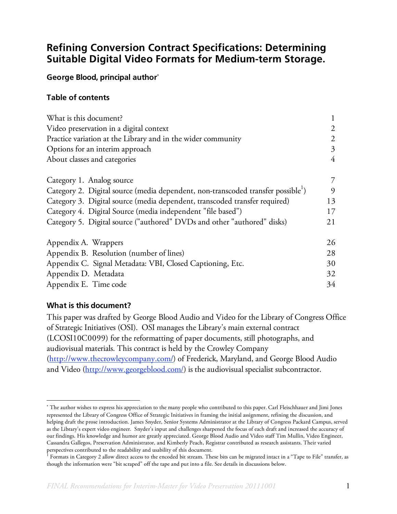# **Refining Conversion Contract Specifications: Determining Suitable Digital Video Formats for Medium-term Storage.**

### **George Blood, principal author**<sup>∗</sup>

#### **Table of contents**

| What is this document?                                                                       |                |
|----------------------------------------------------------------------------------------------|----------------|
| Video preservation in a digital context                                                      | $\overline{2}$ |
| Practice variation at the Library and in the wider community                                 | 2              |
| Options for an interim approach                                                              | 3              |
| About classes and categories                                                                 | $\overline{4}$ |
| Category 1. Analog source                                                                    | 7              |
| Category 2. Digital source (media dependent, non-transcoded transfer possible <sup>1</sup> ) | 9              |
| Category 3. Digital source (media dependent, transcoded transfer required)                   | 13             |
| Category 4. Digital Source (media independent "file based")                                  | 17             |
| Category 5. Digital source ("authored" DVDs and other "authored" disks)                      | 21             |
| Appendix A. Wrappers                                                                         | 26             |
| Appendix B. Resolution (number of lines)                                                     | 28             |
| Appendix C. Signal Metadata: VBI, Closed Captioning, Etc.                                    | 30             |
| Appendix D. Metadata                                                                         | 32             |
| Appendix E. Time code                                                                        | 34             |

### **What is this document?**

 $\overline{a}$ 

This paper was drafted by George Blood Audio and Video for the Library of Congress Office of Strategic Initiatives (OSI). OSI manages the Library's main external contract (LCOSI10C0099) for the reformatting of paper documents, still photographs, and audiovisual materials. This contract is held by the Crowley Company (http://www.thecrowleycompany.com/) of Frederick, Maryland, and George Blood Audio and Video (http://www.georgeblood.com/) is the audiovisual specialist subcontractor.

<sup>∗</sup> The author wishes to express his appreciation to the many people who contributed to this paper. Carl Fleischhauer and Jimi Jones represented the Library of Congress Office of Strategic Initiatives in framing the initial assignment, refining the discussion, and helping draft the prose introduction. James Snyder, Senior Systems Administrator at the Library of Congress Packard Campus, served as the Library's expert video engineer. Snyder's input and challenges sharpened the focus of each draft and increased the accuracy of our findings. His knowledge and humor are greatly appreciated. George Blood Audio and Video staff Tim Mullin, Video Engineer, Cassandra Gallegos, Preservation Administrator, and Kimberly Peach, Registrar contributed as research assistants. Their varied perspectives contributed to the readability and usability of this document.<br><sup>1</sup> Fermate in Category 2 allow direct agesse to the angeled his stream. Th

Formats in Category 2 allow direct access to the encoded bit stream. These bits can be migrated intact in a "Tape to File" transfer, as though the information were "bit scraped" off the tape and put into a file. See details in discussions below.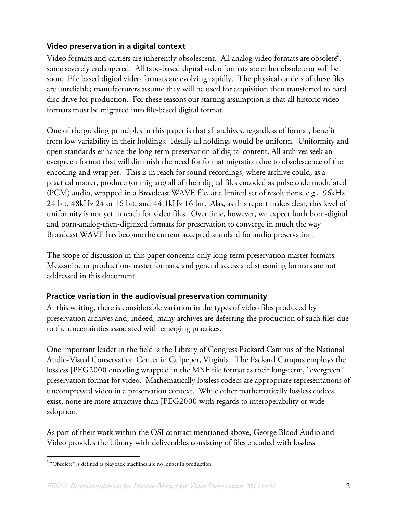## **Video preservation in a digital context**

Video formats and carriers are inherently obsolescent. All analog video formats are obsolete $^2$ , some severely endangered. All tape-based digital video formats are either obsolete or will be soon. File based digital video formats are evolving rapidly. The physical carriers of these files are unreliable; manufacturers assume they will be used for acquisition then transferred to hard disc drive for production. For these reasons our starting assumption is that all historic video formats must be migrated into file-based digital format.

One of the guiding principles in this paper is that all archives, regardless of format, benefit from low variability in their holdings. Ideally all holdings would be uniform. Uniformity and open standards enhance the long term preservation of digital content. All archives seek an evergreen format that will diminish the need for format migration due to obsolescence of the encoding and wrapper. This is in reach for sound recordings, where archive could, as a practical matter, produce (or migrate) all of their digital files encoded as pulse code modulated (PCM) audio, wrapped in a Broadcast WAVE file, at a limited set of resolutions, e.g., 96kHz 24 bit, 48kHz 24 or 16 bit, and 44.1kHz 16 bit. Alas, as this report makes clear, this level of uniformity is not yet in reach for video files. Over time, however, we expect both born-digital and born-analog-then-digitized formats for preservation to converge in much the way Broadcast WAVE has become the current accepted standard for audio preservation.

The scope of discussion in this paper concerns only long-term preservation master formats. Mezzanine or production-master formats, and general access and streaming formats are not addressed in this document.

## **Practice variation in the audiovisual preservation community**

At this writing, there is considerable variation in the types of video files produced by preservation archives and, indeed, many archives are deferring the production of such files due to the uncertainties associated with emerging practices.

One important leader in the field is the Library of Congress Packard Campus of the National Audio-Visual Conservation Center in Culpeper, Virginia. The Packard Campus employs the lossless JPEG2000 encoding wrapped in the MXF file format as their long-term, "evergreen" preservation format for video. Mathematically lossless codecs are appropriate representations of uncompressed video in a preservation context. While other mathematically lossless codecs exist, none are more attractive than JPEG2000 with regards to interoperability or wide adoption.

As part of their work within the OSI contract mentioned above, George Blood Audio and Video provides the Library with deliverables consisting of files encoded with lossless

 $\frac{1}{2}$  $2$  "Obsolete" is defined as playback machines are no longer in production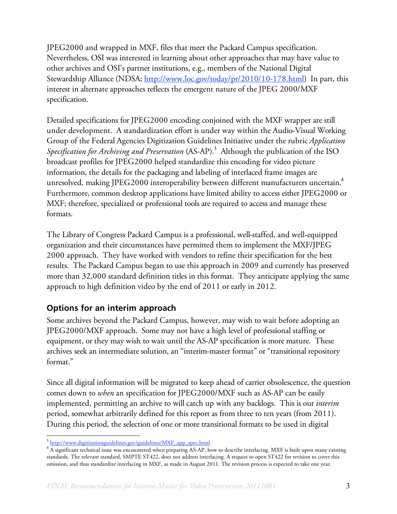JPEG2000 and wrapped in MXF, files that meet the Packard Campus specification. Nevertheless, OSI was interested in learning about other approaches that may have value to other archives and OSI's partner institutions, e.g., members of the National Digital Stewardship Alliance (NDSA; http://www.loc.gov/today/pr/2010/10-178.html) In part, this interest in alternate approaches reflects the emergent nature of the JPEG 2000/MXF specification.

Detailed specifications for JPEG2000 encoding conjoined with the MXF wrapper are still under development. A standardization effort is under way within the Audio-Visual Working Group of the Federal Agencies Digitization Guidelines Initiative under the rubric *Application*  Specification for Archiving and Preservation (AS-AP).<sup>3</sup> Although the publication of the ISO broadcast profiles for JPEG2000 helped standardize this encoding for video picture information, the details for the packaging and labeling of interlaced frame images are unresolved, making JPEG2000 interoperability between different manufacturers uncertain. $^4$ Furthermore, common desktop applications have limited ability to access either JPEG2000 or MXF; therefore, specialized or professional tools are required to access and manage these formats.

The Library of Congress Packard Campus is a professional, well-staffed, and well-equipped organization and their circumstances have permitted them to implement the MXF/JPEG 2000 approach. They have worked with vendors to refine their specification for the best results. The Packard Campus began to use this approach in 2009 and currently has preserved more than 32,000 standard definition titles in this format. They anticipate applying the same approach to high definition video by the end of 2011 or early in 2012.

## **Options for an interim approach**

Some archives beyond the Packard Campus, however, may wish to wait before adopting an JPEG2000/MXF approach. Some may not have a high level of professional staffing or equipment, or they may wish to wait until the AS-AP specification is more mature. These archives seek an intermediate solution, an "interim-master format" or "transitional repository format."

Since all digital information will be migrated to keep ahead of carrier obsolescence, the question comes down to *when* an specification for JPEG2000/MXF such as AS-AP can be easily implemented, permitting an archive to will catch up with any backlogs. This is our *interim* period, somewhat arbitrarily defined for this report as from three to ten years (from 2011). During this period, the selection of one or more transitional formats to be used in digital

<sup>&</sup>lt;sup>3</sup> http://www.digitizationguidelines.gov/guidelines/MXF\_app\_spec.html

<sup>&</sup>lt;sup>4</sup> A significant technical issue was encountered when preparing AS-AP, how to describe interlacing. MXF is built upon many existing standards. The relevant standard, SMPTE ST422, does not address interlacing. A request to open ST422 for revision to cover this omission, and thus standardize interlacing in MXF, as made in August 2011. The revision process is expected to take one year.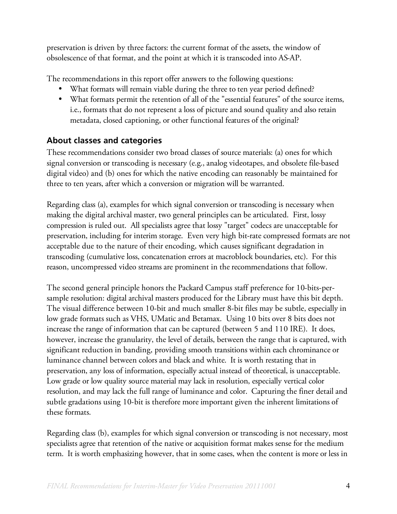preservation is driven by three factors: the current format of the assets, the window of obsolescence of that format, and the point at which it is transcoded into AS-AP.

The recommendations in this report offer answers to the following questions:

- What formats will remain viable during the three to ten year period defined?
- What formats permit the retention of all of the "essential features" of the source items, i.e., formats that do not represent a loss of picture and sound quality and also retain metadata, closed captioning, or other functional features of the original?

## **About classes and categories**

These recommendations consider two broad classes of source materials: (a) ones for which signal conversion or transcoding is necessary (e.g., analog videotapes, and obsolete file-based digital video) and (b) ones for which the native encoding can reasonably be maintained for three to ten years, after which a conversion or migration will be warranted.

Regarding class (a), examples for which signal conversion or transcoding is necessary when making the digital archival master, two general principles can be articulated. First, lossy compression is ruled out. All specialists agree that lossy "target" codecs are unacceptable for preservation, including for interim storage. Even very high bit-rate compressed formats are not acceptable due to the nature of their encoding, which causes significant degradation in transcoding (cumulative loss, concatenation errors at macroblock boundaries, etc). For this reason, uncompressed video streams are prominent in the recommendations that follow.

The second general principle honors the Packard Campus staff preference for 10-bits-persample resolution: digital archival masters produced for the Library must have this bit depth. The visual difference between 10-bit and much smaller 8-bit files may be subtle, especially in low grade formats such as VHS, UMatic and Betamax. Using 10 bits over 8 bits does not increase the range of information that can be captured (between 5 and 110 IRE). It does, however, increase the granularity, the level of details, between the range that is captured, with significant reduction in banding, providing smooth transitions within each chrominance or luminance channel between colors and black and white. It is worth restating that in preservation, any loss of information, especially actual instead of theoretical, is unacceptable. Low grade or low quality source material may lack in resolution, especially vertical color resolution, and may lack the full range of luminance and color. Capturing the finer detail and subtle gradations using 10-bit is therefore more important given the inherent limitations of these formats.

Regarding class (b), examples for which signal conversion or transcoding is not necessary, most specialists agree that retention of the native or acquisition format makes sense for the medium term. It is worth emphasizing however, that in some cases, when the content is more or less in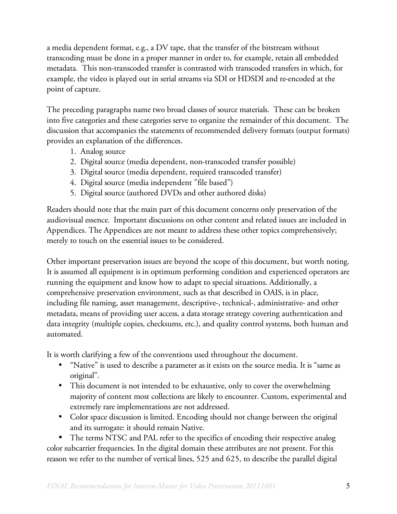a media dependent format, e.g., a DV tape, that the transfer of the bitstream without transcoding must be done in a proper manner in order to, for example, retain all embedded metadata. This non-transcoded transfer is contrasted with transcoded transfers in which, for example, the video is played out in serial streams via SDI or HDSDI and re-encoded at the point of capture.

The preceding paragraphs name two broad classes of source materials. These can be broken into five categories and these categories serve to organize the remainder of this document. The discussion that accompanies the statements of recommended delivery formats (output formats) provides an explanation of the differences.

- 1. Analog source
- 2. Digital source (media dependent, non-transcoded transfer possible)
- 3. Digital source (media dependent, required transcoded transfer)
- 4. Digital source (media independent "file based")
- 5. Digital source (authored DVDs and other authored disks)

Readers should note that the main part of this document concerns only preservation of the audiovisual essence. Important discussions on other content and related issues are included in Appendices. The Appendices are not meant to address these other topics comprehensively; merely to touch on the essential issues to be considered.

Other important preservation issues are beyond the scope of this document, but worth noting. It is assumed all equipment is in optimum performing condition and experienced operators are running the equipment and know how to adapt to special situations. Additionally, a comprehensive preservation environment, such as that described in OAIS, is in place, including file naming, asset management, descriptive-, technical-, administrative- and other metadata, means of providing user access, a data storage strategy covering authentication and data integrity (multiple copies, checksums, etc.), and quality control systems, both human and automated.

It is worth clarifying a few of the conventions used throughout the document.

- "Native" is used to describe a parameter as it exists on the source media. It is "same as original".
- This document is not intended to be exhaustive, only to cover the overwhelming majority of content most collections are likely to encounter. Custom, experimental and extremely rare implementations are not addressed.
- Color space discussion is limited. Encoding should not change between the original and its surrogate: it should remain Native.

• The terms NTSC and PAL refer to the specifics of encoding their respective analog color subcarrier frequencies. In the digital domain these attributes are not present. For this reason we refer to the number of vertical lines, 525 and 625, to describe the parallel digital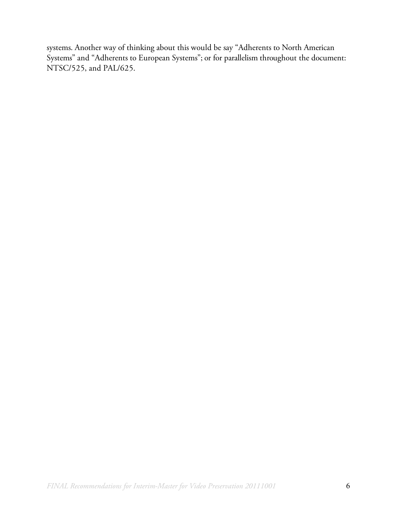systems. Another way of thinking about this would be say "Adherents to North American Systems" and "Adherents to European Systems"; or for parallelism throughout the document: NTSC/525, and PAL/625.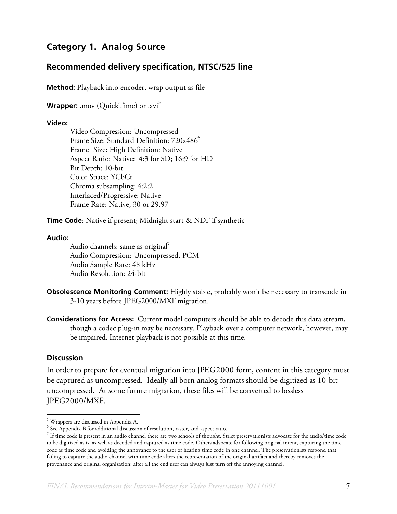## **Category 1. Analog Source**

### **Recommended delivery specification, NTSC/525 line**

**Method:** Playback into encoder, wrap output as file

**Wrapper:** .mov (QuickTime) or .avi<sup>5</sup>

#### **Video:**

Video Compression: Uncompressed Frame Size: Standard Definition: 720x486<sup>6</sup> Frame Size: High Definition: Native Aspect Ratio: Native: 4:3 for SD; 16:9 for HD Bit Depth: 10-bit Color Space: YCbCr Chroma subsampling: 4:2:2 Interlaced/Progressive: Native Frame Rate: Native, 30 or 29.97

**Time Code**: Native if present; Midnight start & NDF if synthetic

#### **Audio:**

Audio channels: same as original $'$ Audio Compression: Uncompressed, PCM Audio Sample Rate: 48 kHz Audio Resolution: 24-bit

- **Obsolescence Monitoring Comment:** Highly stable, probably won't be necessary to transcode in 3-10 years before JPEG2000/MXF migration.
- **Considerations for Access:** Current model computers should be able to decode this data stream, though a codec plug-in may be necessary. Playback over a computer network, however, may be impaired. Internet playback is not possible at this time.

#### **Discussion**

In order to prepare for eventual migration into JPEG2000 form, content in this category must be captured as uncompressed. Ideally all born-analog formats should be digitized as 10-bit uncompressed. At some future migration, these files will be converted to lossless JPEG2000/MXF.

 <sup>5</sup> Wrappers are discussed in Appendix A.

<sup>&</sup>lt;sup>6</sup> See Appendix B for additional discussion of resolution, raster, and aspect ratio.

 $^7$  If time code is present in an audio channel there are two schools of thought. Strict preservationists advocate for the audio/time code to be digitized as is, as well as decoded and captured as time code. Others advocate for following original intent, capturing the time code as time code and avoiding the annoyance to the user of hearing time code in one channel. The preservationists respond that failing to capture the audio channel with time code alters the representation of the original artifact and thereby removes the provenance and original organization; after all the end user can always just turn off the annoying channel.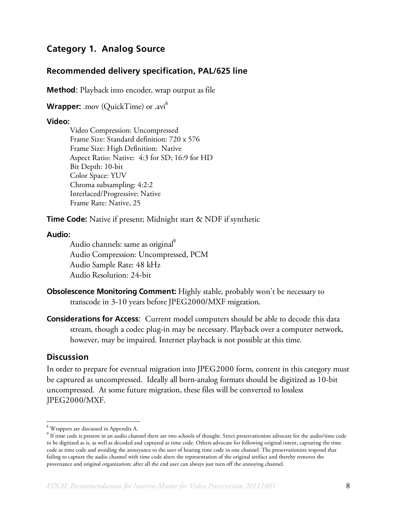## **Category 1. Analog Source**

## **Recommended delivery specification, PAL/625 line**

**Method**: Playback into encoder, wrap output as file

Wrapper: .mov (QuickTime) or .avi<sup>8</sup>

#### **Video:**

Video Compression: Uncompressed Frame Size: Standard definition: 720 x 576 Frame Size: High Definition: Native Aspect Ratio: Native: 4:3 for SD; 16:9 for HD Bit Depth: 10-bit Color Space: YUV Chroma subsampling: 4:2:2 Interlaced/Progressive: Native Frame Rate: Native, 25

**Time Code:** Native if present; Midnight start & NDF if synthetic

#### **Audio:**

Audio channels: same as original<sup>9</sup> Audio Compression: Uncompressed, PCM Audio Sample Rate: 48 kHz Audio Resolution: 24-bit

- **Obsolescence Monitoring Comment:** Highly stable, probably won't be necessary to transcode in 3-10 years before JPEG2000/MXF migration.
- **Considerations for Access**: Current model computers should be able to decode this data stream, though a codec plug-in may be necessary. Playback over a computer network, however, may be impaired. Internet playback is not possible at this time.

### **Discussion**

In order to prepare for eventual migration into JPEG2000 form, content in this category must be captured as uncompressed. Ideally all born-analog formats should be digitized as 10-bit uncompressed. At some future migration, these files will be converted to lossless JPEG2000/MXF.

 <sup>8</sup> Wrappers are discussed in Appendix A.

<sup>&</sup>lt;sup>9</sup> If time code is present in an audio channel there are two schools of thought. Strict preservationists advocate for the audio/time code to be digitized as is, as well as decoded and captured as time code. Others advocate for following original intent, capturing the time code as time code and avoiding the annoyance to the user of hearing time code in one channel. The preservationists respond that failing to capture the audio channel with time code alters the representation of the original artifact and thereby removes the provenance and original organization; after all the end user can always just turn off the annoying channel.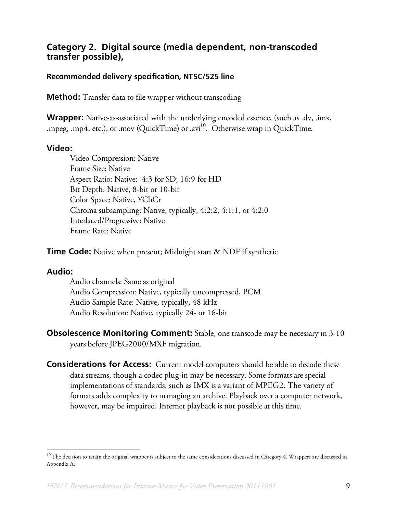## **Category 2. Digital source (media dependent, non-transcoded transfer possible),**

### **Recommended delivery specification, NTSC/525 line**

**Method:** Transfer data to file wrapper without transcoding

**Wrapper:** Native-as-associated with the underlying encoded essence, (such as .dv, .imx, .mpeg, .mp4, etc.), or .mov (QuickTime) or .avi<sup>10</sup>. Otherwise wrap in QuickTime.

### **Video:**

Video Compression: Native Frame Size: Native Aspect Ratio: Native: 4:3 for SD; 16:9 for HD Bit Depth: Native, 8-bit or 10-bit Color Space: Native, YCbCr Chroma subsampling: Native, typically, 4:2:2, 4:1:1, or 4:2:0 Interlaced/Progressive: Native Frame Rate: Native

**Time Code:** Native when present; Midnight start & NDF if synthetic

## **Audio:**

Audio channels: Same as original Audio Compression: Native, typically uncompressed, PCM Audio Sample Rate: Native, typically, 48 kHz Audio Resolution: Native, typically 24- or 16-bit

**Obsolescence Monitoring Comment:** Stable, one transcode may be necessary in 3-10 years before JPEG2000/MXF migration.

**Considerations for Access:** Current model computers should be able to decode these data streams, though a codec plug-in may be necessary. Some formats are special implementations of standards, such as IMX is a variant of MPEG2. The variety of formats adds complexity to managing an archive. Playback over a computer network, however, may be impaired. Internet playback is not possible at this time.

 $10$  The decision to retain the original wrapper is subject to the same considerations discussed in Category 4. Wrappers are discussed in Appendix A.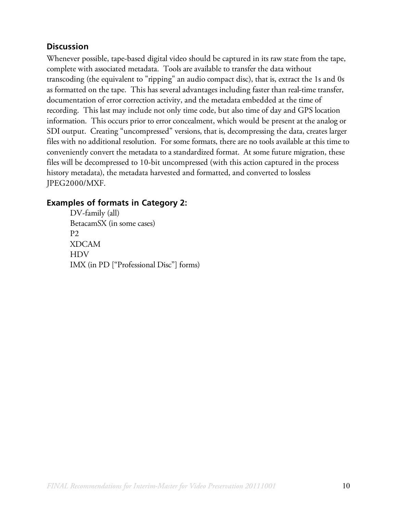## **Discussion**

Whenever possible, tape-based digital video should be captured in its raw state from the tape, complete with associated metadata. Tools are available to transfer the data without transcoding (the equivalent to "ripping" an audio compact disc), that is, extract the 1s and 0s as formatted on the tape. This has several advantages including faster than real-time transfer, documentation of error correction activity, and the metadata embedded at the time of recording. This last may include not only time code, but also time of day and GPS location information. This occurs prior to error concealment, which would be present at the analog or SDI output. Creating "uncompressed" versions, that is, decompressing the data, creates larger files with no additional resolution. For some formats, there are no tools available at this time to conveniently convert the metadata to a standardized format. At some future migration, these files will be decompressed to 10-bit uncompressed (with this action captured in the process history metadata), the metadata harvested and formatted, and converted to lossless JPEG2000/MXF.

## **Examples of formats in Category 2:**

DV-family (all) BetacamSX (in some cases) P2 XDCAM HDV IMX (in PD ["Professional Disc"] forms)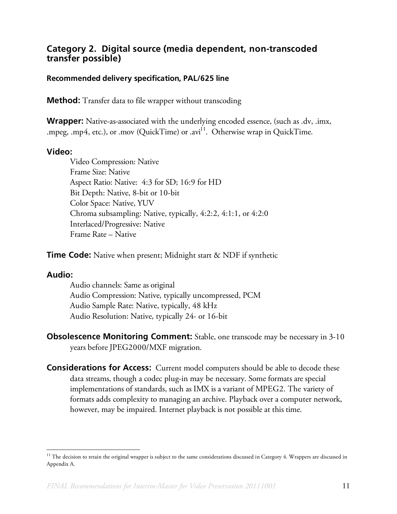## **Category 2. Digital source (media dependent, non-transcoded transfer possible)**

### **Recommended delivery specification, PAL/625 line**

**Method:** Transfer data to file wrapper without transcoding

**Wrapper:** Native-as-associated with the underlying encoded essence, (such as .dv, .imx, .mpeg, .mp4, etc.), or .mov (QuickTime) or .avi<sup>11</sup>. Otherwise wrap in QuickTime.

#### **Video:**

Video Compression: Native Frame Size: Native Aspect Ratio: Native: 4:3 for SD; 16:9 for HD Bit Depth: Native, 8-bit or 10-bit Color Space: Native, YUV Chroma subsampling: Native, typically, 4:2:2, 4:1:1, or 4:2:0 Interlaced/Progressive: Native Frame Rate – Native

**Time Code:** Native when present; Midnight start & NDF if synthetic

#### **Audio:**

Audio channels: Same as original Audio Compression: Native, typically uncompressed, PCM Audio Sample Rate: Native, typically, 48 kHz Audio Resolution: Native, typically 24- or 16-bit

**Obsolescence Monitoring Comment:** Stable, one transcode may be necessary in 3-10 years before JPEG2000/MXF migration.

**Considerations for Access:** Current model computers should be able to decode these data streams, though a codec plug-in may be necessary. Some formats are special implementations of standards, such as IMX is a variant of MPEG2. The variety of formats adds complexity to managing an archive. Playback over a computer network, however, may be impaired. Internet playback is not possible at this time.

 $^{11}$  The decision to retain the original wrapper is subject to the same considerations discussed in Category 4. Wrappers are discussed in Appendix A.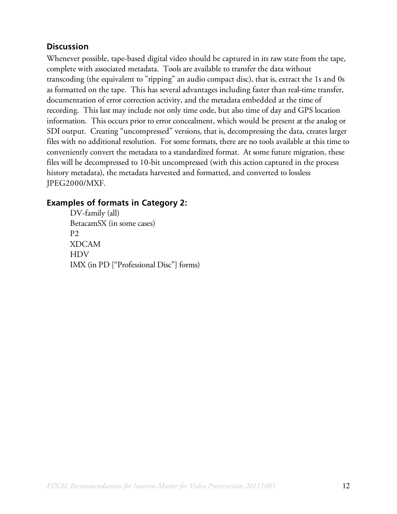## **Discussion**

Whenever possible, tape-based digital video should be captured in its raw state from the tape, complete with associated metadata. Tools are available to transfer the data without transcoding (the equivalent to "ripping" an audio compact disc), that is, extract the 1s and 0s as formatted on the tape. This has several advantages including faster than real-time transfer, documentation of error correction activity, and the metadata embedded at the time of recording. This last may include not only time code, but also time of day and GPS location information. This occurs prior to error concealment, which would be present at the analog or SDI output. Creating "uncompressed" versions, that is, decompressing the data, creates larger files with no additional resolution. For some formats, there are no tools available at this time to conveniently convert the metadata to a standardized format. At some future migration, these files will be decompressed to 10-bit uncompressed (with this action captured in the process history metadata), the metadata harvested and formatted, and converted to lossless JPEG2000/MXF.

## **Examples of formats in Category 2:**

DV-family (all) BetacamSX (in some cases) P2 XDCAM HDV IMX (in PD ["Professional Disc"] forms)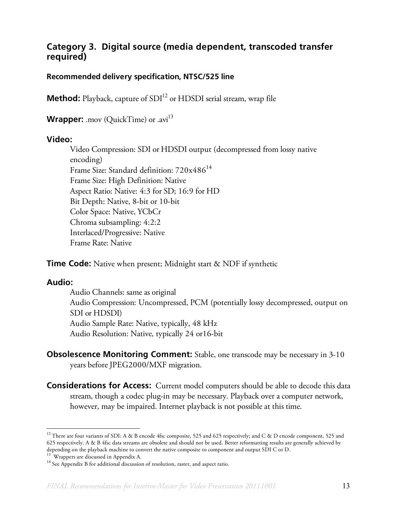## **Category 3. Digital source (media dependent, transcoded transfer required)**

### **Recommended delivery specification, NTSC/525 line**

**Method:** Playback, capture of SDI<sup>12</sup> or HDSDI serial stream, wrap file

**Wrapper:** .mov (QuickTime) or .avi<sup>13</sup>

#### **Video:**

Video Compression: SDI or HDSDI output (decompressed from lossy native encoding) Frame Size: Standard definition:  $720x486^{14}$ Frame Size: High Definition: Native Aspect Ratio: Native: 4:3 for SD; 16:9 for HD Bit Depth: Native, 8-bit or 10-bit Color Space: Native, YCbCr Chroma subsampling: 4:2:2 Interlaced/Progressive: Native Frame Rate: Native

**Time Code:** Native when present; Midnight start & NDF if synthetic

### **Audio:**

Audio Channels: same as original Audio Compression: Uncompressed, PCM (potentially lossy decompressed, output on SDI or HDSDI) Audio Sample Rate: Native, typically, 48 kHz Audio Resolution: Native, typically 24 or16-bit

- **Obsolescence Monitoring Comment:** Stable, one transcode may be necessary in 3-10 years before JPEG2000/MXF migration.
- **Considerations for Access:** Current model computers should be able to decode this data stream, though a codec plug-in may be necessary. Playback over a computer network, however, may be impaired. Internet playback is not possible at this time.

<sup>&</sup>lt;sup>12</sup> There are four variants of SDI: A & B encode 4fsc composite, 525 and 625 respectively; and C & D encode component, 525 and 625 respectively. A & B 4fsc data streams are obsolete and should not be used. Better reformatting results are generally achieved by depending on the playback machine to convert the native composite to component and output SDI C or D. <sup>13</sup> Wrappers are discussed in Appendix A.

<sup>&</sup>lt;sup>14</sup> See Appendix B for additional discussion of resolution, raster, and aspect ratio.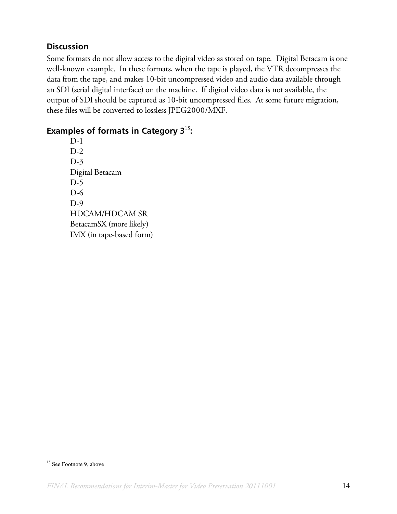## **Discussion**

Some formats do not allow access to the digital video as stored on tape. Digital Betacam is one well-known example. In these formats, when the tape is played, the VTR decompresses the data from the tape, and makes 10-bit uncompressed video and audio data available through an SDI (serial digital interface) on the machine. If digital video data is not available, the output of SDI should be captured as 10-bit uncompressed files. At some future migration, these files will be converted to lossless JPEG2000/MXF.

## **Examples of formats in Category 3**<sup>15</sup>**:**

D-1  $D-2$ D-3 Digital Betacam D-5 D-6 D-9 HDCAM/HDCAM SR BetacamSX (more likely) IMX (in tape-based form)

<sup>&</sup>lt;sup>15</sup> See Footnote 9, above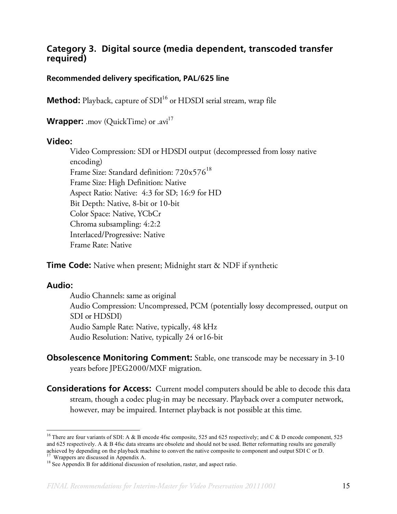## **Category 3. Digital source (media dependent, transcoded transfer required)**

### **Recommended delivery specification, PAL/625 line**

**Method:** Playback, capture of SDI<sup>16</sup> or HDSDI serial stream, wrap file

**Wrapper:** .mov (QuickTime) or .avi<sup>17</sup>

#### **Video:**

Video Compression: SDI or HDSDI output (decompressed from lossy native encoding) Frame Size: Standard definition:  $720x576^{18}$ Frame Size: High Definition: Native Aspect Ratio: Native: 4:3 for SD; 16:9 for HD Bit Depth: Native, 8-bit or 10-bit Color Space: Native, YCbCr Chroma subsampling: 4:2:2 Interlaced/Progressive: Native Frame Rate: Native

**Time Code:** Native when present; Midnight start & NDF if synthetic

#### **Audio:**

Audio Channels: same as original Audio Compression: Uncompressed, PCM (potentially lossy decompressed, output on SDI or HDSDI) Audio Sample Rate: Native, typically, 48 kHz Audio Resolution: Native, typically 24 or16-bit

- **Obsolescence Monitoring Comment:** Stable, one transcode may be necessary in 3-10 years before JPEG2000/MXF migration.
- **Considerations for Access:** Current model computers should be able to decode this data stream, though a codec plug-in may be necessary. Playback over a computer network, however, may be impaired. Internet playback is not possible at this time.

<sup>&</sup>lt;sup>16</sup> There are four variants of SDI: A & B encode 4fsc composite, 525 and 625 respectively; and C & D encode component, 525 and 625 respectively. A  $\&$  B 4fsc data streams are obsolete and should not be used. Better reformatting results are generally achieved by depending on the playback machine to convert the native composite to component and output SDI C or D. 17 Wrappers are discussed in Appendix A.

<sup>&</sup>lt;sup>18</sup> See Appendix B for additional discussion of resolution, raster, and aspect ratio.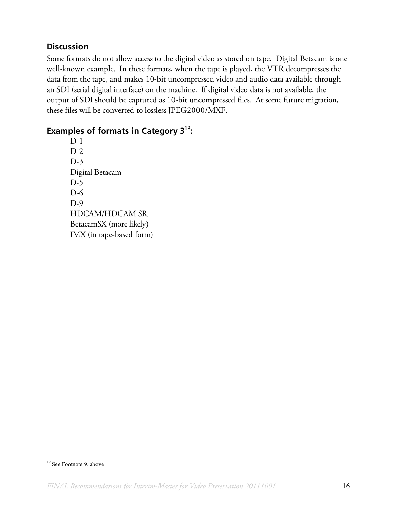## **Discussion**

Some formats do not allow access to the digital video as stored on tape. Digital Betacam is one well-known example. In these formats, when the tape is played, the VTR decompresses the data from the tape, and makes 10-bit uncompressed video and audio data available through an SDI (serial digital interface) on the machine. If digital video data is not available, the output of SDI should be captured as 10-bit uncompressed files. At some future migration, these files will be converted to lossless JPEG2000/MXF.

## **Examples of formats in Category 3**<sup>19</sup>**:**

D-1  $D-2$ D-3 Digital Betacam D-5 D-6 D-9 HDCAM/HDCAM SR BetacamSX (more likely) IMX (in tape-based form)

<sup>&</sup>lt;sup>19</sup> See Footnote 9, above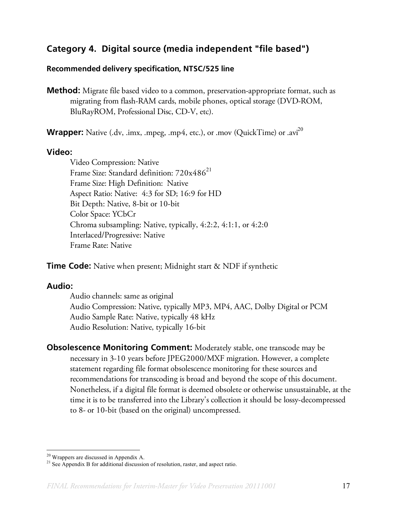## **Category 4. Digital source (media independent "file based")**

#### **Recommended delivery specification, NTSC/525 line**

**Method:** Migrate file based video to a common, preservation-appropriate format, such as migrating from flash-RAM cards, mobile phones, optical storage (DVD-ROM, BluRayROM, Professional Disc, CD-V, etc).

**Wrapper:** Native (.dv, .imx, .mpeg, .mp4, etc.), or .mov (QuickTime) or .avi<sup>20</sup>

#### **Video:**

Video Compression: Native Frame Size: Standard definition: 720x486<sup>21</sup> Frame Size: High Definition: Native Aspect Ratio: Native: 4:3 for SD; 16:9 for HD Bit Depth: Native, 8-bit or 10-bit Color Space: YCbCr Chroma subsampling: Native, typically, 4:2:2, 4:1:1, or 4:2:0 Interlaced/Progressive: Native Frame Rate: Native

**Time Code:** Native when present; Midnight start & NDF if synthetic

### **Audio:**

Audio channels: same as original Audio Compression: Native, typically MP3, MP4, AAC, Dolby Digital or PCM Audio Sample Rate: Native, typically 48 kHz Audio Resolution: Native, typically 16-bit

**Obsolescence Monitoring Comment:** Moderately stable, one transcode may be necessary in 3-10 years before JPEG2000/MXF migration. However, a complete statement regarding file format obsolescence monitoring for these sources and recommendations for transcoding is broad and beyond the scope of this document. Nonetheless, if a digital file format is deemed obsolete or otherwise unsustainable, at the time it is to be transferred into the Library's collection it should be lossy-decompressed to 8- or 10-bit (based on the original) uncompressed.

 <sup>20</sup> Wrappers are discussed in Appendix A.

<sup>&</sup>lt;sup>21</sup> See Appendix B for additional discussion of resolution, raster, and aspect ratio.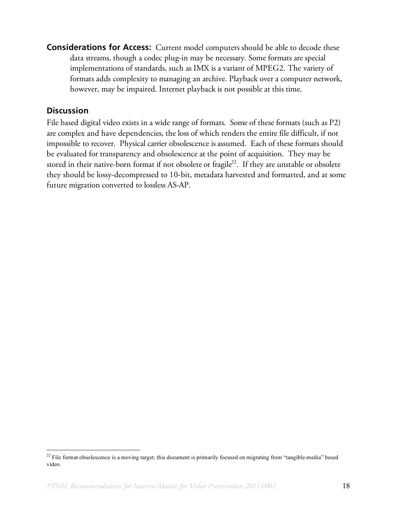**Considerations for Access:** Current model computers should be able to decode these data streams, though a codec plug-in may be necessary. Some formats are special implementations of standards, such as IMX is a variant of MPEG2. The variety of formats adds complexity to managing an archive. Playback over a computer network, however, may be impaired. Internet playback is not possible at this time.

## **Discussion**

File based digital video exists in a wide range of formats. Some of these formats (such as P2) are complex and have dependencies, the loss of which renders the entire file difficult, if not impossible to recover. Physical carrier obsolescence is assumed. Each of these formats should be evaluated for transparency and obsolescence at the point of acquisition. They may be stored in their native-born format if not obsolete or fragile<sup>22</sup>. If they are unstable or obsolete they should be lossy-decompressed to 10-bit, metadata harvested and formatted, and at some future migration converted to lossless AS-AP.

<sup>&</sup>lt;sup>22</sup> File format obsolescence is a moving target; this document is primarily focused on migrating from "tangible-media" based video.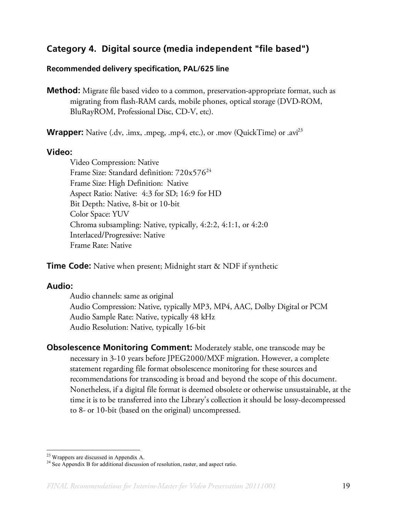## **Category 4. Digital source (media independent "file based")**

#### **Recommended delivery specification, PAL/625 line**

**Method:** Migrate file based video to a common, preservation-appropriate format, such as migrating from flash-RAM cards, mobile phones, optical storage (DVD-ROM, BluRayROM, Professional Disc, CD-V, etc).

**Wrapper:** Native (.dv, .imx, .mpeg, .mp4, etc.), or .mov (QuickTime) or .avi<sup>23</sup>

#### **Video:**

Video Compression: Native Frame Size: Standard definition: 720x576<sup>24</sup> Frame Size: High Definition: Native Aspect Ratio: Native: 4:3 for SD; 16:9 for HD Bit Depth: Native, 8-bit or 10-bit Color Space: YUV Chroma subsampling: Native, typically, 4:2:2, 4:1:1, or 4:2:0 Interlaced/Progressive: Native Frame Rate: Native

**Time Code:** Native when present; Midnight start & NDF if synthetic

### **Audio:**

Audio channels: same as original Audio Compression: Native, typically MP3, MP4, AAC, Dolby Digital or PCM Audio Sample Rate: Native, typically 48 kHz Audio Resolution: Native, typically 16-bit

**Obsolescence Monitoring Comment:** Moderately stable, one transcode may be necessary in 3-10 years before JPEG2000/MXF migration. However, a complete statement regarding file format obsolescence monitoring for these sources and recommendations for transcoding is broad and beyond the scope of this document. Nonetheless, if a digital file format is deemed obsolete or otherwise unsustainable, at the time it is to be transferred into the Library's collection it should be lossy-decompressed to 8- or 10-bit (based on the original) uncompressed.

 <sup>23</sup> Wrappers are discussed in Appendix A.

<sup>&</sup>lt;sup>24</sup> See Appendix B for additional discussion of resolution, raster, and aspect ratio.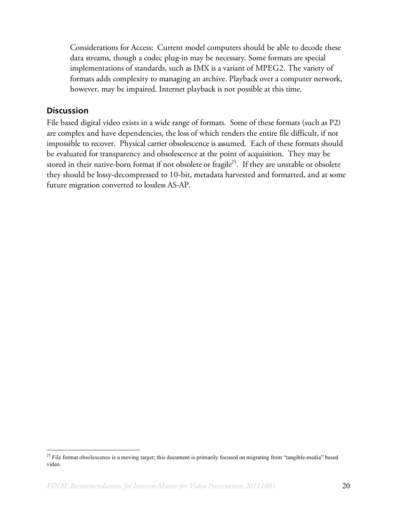Considerations for Access: Current model computers should be able to decode these data streams, though a codec plug-in may be necessary. Some formats are special implementations of standards, such as IMX is a variant of MPEG2. The variety of formats adds complexity to managing an archive. Playback over a computer network, however, may be impaired. Internet playback is not possible at this time.

### **Discussion**

File based digital video exists in a wide range of formats. Some of these formats (such as P2) are complex and have dependencies, the loss of which renders the entire file difficult, if not impossible to recover. Physical carrier obsolescence is assumed. Each of these formats should be evaluated for transparency and obsolescence at the point of acquisition. They may be stored in their native-born format if not obsolete or fragile<sup>25</sup>. If they are unstable or obsolete they should be lossy-decompressed to 10-bit, metadata harvested and formatted, and at some future migration converted to lossless AS-AP.

<sup>&</sup>lt;sup>25</sup> File format obsolescence is a moving target; this document is primarily focused on migrating from "tangible-media" based video.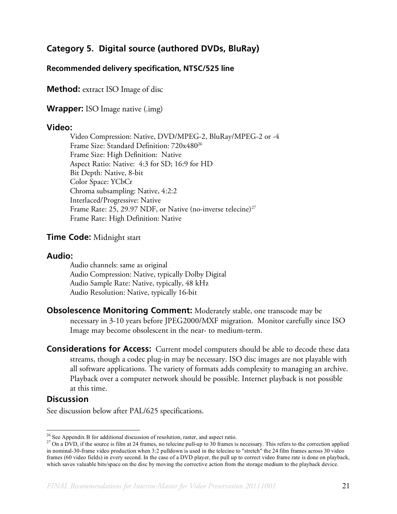## **Category 5. Digital source (authored DVDs, BluRay)**

#### **Recommended delivery specification, NTSC/525 line**

**Method:** extract ISO Image of disc

**Wrapper:** ISO Image native (.img)

#### **Video:**

Video Compression: Native, DVD/MPEG-2, BluRay/MPEG-2 or -4 Frame Size: Standard Definition: 720x480<sup>26</sup> Frame Size: High Definition: Native Aspect Ratio: Native: 4:3 for SD; 16:9 for HD Bit Depth: Native, 8-bit Color Space: YCbCr Chroma subsampling: Native, 4:2:2 Interlaced/Progressive: Native Frame Rate: 25, 29.97 NDF, or Native (no-inverse telecine)<sup>27</sup> Frame Rate: High Definition: Native

#### **Time Code:** Midnight start

#### **Audio:**

Audio channels: same as original Audio Compression: Native, typically Dolby Digital Audio Sample Rate: Native, typically, 48 kHz Audio Resolution: Native, typically 16-bit

- **Obsolescence Monitoring Comment:** Moderately stable, one transcode may be necessary in 3-10 years before JPEG2000/MXF migration. Monitor carefully since ISO Image may become obsolescent in the near- to medium-term.
- **Considerations for Access:** Current model computers should be able to decode these data streams, though a codec plug-in may be necessary. ISO disc images are not playable with all software applications. The variety of formats adds complexity to managing an archive. Playback over a computer network should be possible. Internet playback is not possible at this time.

### **Discussion**

See discussion below after PAL/625 specifications.

<sup>&</sup>lt;sup>26</sup> See Appendix B for additional discussion of resolution, raster, and aspect ratio.<br><sup>27</sup> On a DVD, if the source is film at 24 frames, no telecine pull-up to 30 frames is necessary. This refers to the correction applie in nominal-30-frame video production when 3:2 pulldown is used in the telecine to "stretch" the 24 film frames across 30 video frames (60 video fields) in every second. In the case of a DVD player, the pull up to correct video frame rate is done on playback, which saves valuable bits/space on the disc by moving the corrective action from the storage medium to the playback device.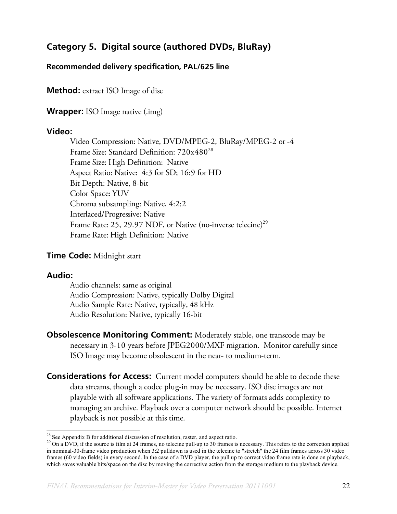# **Category 5. Digital source (authored DVDs, BluRay)**

### **Recommended delivery specification, PAL/625 line**

**Method:** extract ISO Image of disc

**Wrapper:** ISO Image native (.img)

#### **Video:**

Video Compression: Native, DVD/MPEG-2, BluRay/MPEG-2 or -4 Frame Size: Standard Definition: 720x480<sup>28</sup> Frame Size: High Definition: Native Aspect Ratio: Native: 4:3 for SD; 16:9 for HD Bit Depth: Native, 8-bit Color Space: YUV Chroma subsampling: Native, 4:2:2 Interlaced/Progressive: Native Frame Rate: 25, 29.97 NDF, or Native (no-inverse telecine)<sup>29</sup> Frame Rate: High Definition: Native

### **Time Code:** Midnight start

### **Audio:**

Audio channels: same as original Audio Compression: Native, typically Dolby Digital Audio Sample Rate: Native, typically, 48 kHz Audio Resolution: Native, typically 16-bit

**Obsolescence Monitoring Comment:** Moderately stable, one transcode may be necessary in 3-10 years before JPEG2000/MXF migration. Monitor carefully since ISO Image may become obsolescent in the near- to medium-term.

**Considerations for Access:** Current model computers should be able to decode these data streams, though a codec plug-in may be necessary. ISO disc images are not playable with all software applications. The variety of formats adds complexity to managing an archive. Playback over a computer network should be possible. Internet playback is not possible at this time.

<sup>&</sup>lt;sup>28</sup> See Appendix B for additional discussion of resolution, raster, and aspect ratio.

 $29$  On a DVD, if the source is film at 24 frames, no telecine pull-up to 30 frames is necessary. This refers to the correction applied in nominal-30-frame video production when 3:2 pulldown is used in the telecine to "stretch" the 24 film frames across 30 video frames (60 video fields) in every second. In the case of a DVD player, the pull up to correct video frame rate is done on playback, which saves valuable bits/space on the disc by moving the corrective action from the storage medium to the playback device.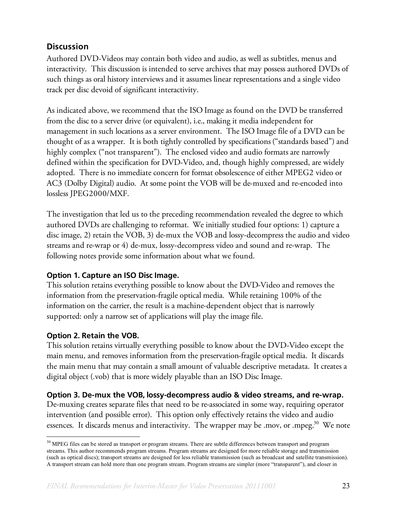## **Discussion**

Authored DVD-Videos may contain both video and audio, as well as subtitles, menus and interactivity. This discussion is intended to serve archives that may possess authored DVDs of such things as oral history interviews and it assumes linear representations and a single video track per disc devoid of significant interactivity.

As indicated above, we recommend that the ISO Image as found on the DVD be transferred from the disc to a server drive (or equivalent), i.e., making it media independent for management in such locations as a server environment. The ISO Image file of a DVD can be thought of as a wrapper. It is both tightly controlled by specifications ("standards based") and highly complex ("not transparent"). The enclosed video and audio formats are narrowly defined within the specification for DVD-Video, and, though highly compressed, are widely adopted. There is no immediate concern for format obsolescence of either MPEG2 video or AC3 (Dolby Digital) audio. At some point the VOB will be de-muxed and re-encoded into lossless JPEG2000/MXF.

The investigation that led us to the preceding recommendation revealed the degree to which authored DVDs are challenging to reformat. We initially studied four options: 1) capture a disc image, 2) retain the VOB, 3) de-mux the VOB and lossy-decompress the audio and video streams and re-wrap or 4) de-mux, lossy-decompress video and sound and re-wrap. The following notes provide some information about what we found.

### **Option 1. Capture an ISO Disc Image.**

This solution retains everything possible to know about the DVD-Video and removes the information from the preservation-fragile optical media. While retaining 100% of the information on the carrier, the result is a machine-dependent object that is narrowly supported: only a narrow set of applications will play the image file.

### **Option 2. Retain the VOB.**

This solution retains virtually everything possible to know about the DVD-Video except the main menu, and removes information from the preservation-fragile optical media. It discards the main menu that may contain a small amount of valuable descriptive metadata. It creates a digital object (.vob) that is more widely playable than an ISO Disc Image.

### **Option 3. De-mux the VOB, lossy-decompress audio & video streams, and re-wrap.**

De-muxing creates separate files that need to be re-associated in some way, requiring operator intervention (and possible error). This option only effectively retains the video and audio essences. It discards menus and interactivity. The wrapper may be .mov, or .mpeg.<sup>30</sup> We note

 $30$  MPEG files can be stored as transport or program streams. There are subtle differences between transport and program streams. This author recommends program streams. Program streams are designed for more reliable storage and transmission (such as optical discs); transport streams are designed for less reliable transmission (such as broadcast and satellite transmission). A transport stream can hold more than one program stream. Program streams are simpler (more "transparent"), and closer in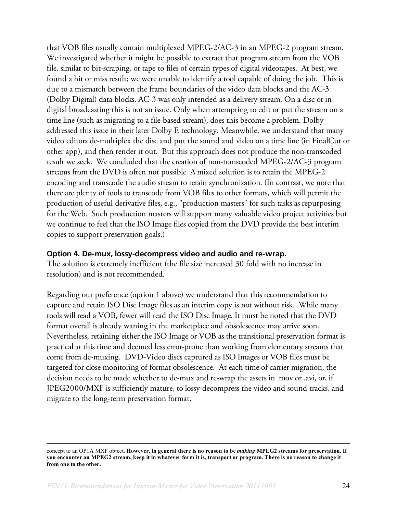that VOB files usually contain multiplexed MPEG-2/AC-3 in an MPEG-2 program stream. We investigated whether it might be possible to extract that program stream from the VOB file, similar to bit-scraping, or tape to files of certain types of digital videotapes. At best, we found a hit or miss result; we were unable to identify a tool capable of doing the job. This is due to a mismatch between the frame boundaries of the video data blocks and the AC-3 (Dolby Digital) data blocks. AC-3 was only intended as a delivery stream. On a disc or in digital broadcasting this is not an issue. Only when attempting to edit or put the stream on a time line (such as migrating to a file-based stream), does this become a problem. Dolby addressed this issue in their later Dolby E technology. Meanwhile, we understand that many video editors de-multiplex the disc and put the sound and video on a time line (in FinalCut or other app), and then render it out. But this approach does not produce the non-transcoded result we seek. We concluded that the creation of non-transcoded MPEG-2/AC-3 program streams from the DVD is often not possible. A mixed solution is to retain the MPEG-2 encoding and transcode the audio stream to retain synchronization. (In contrast, we note that there are plenty of tools to transcode from VOB files to other formats, which will permit the production of useful derivative files, e.g., "production masters" for such tasks as repurposing for the Web. Such production masters will support many valuable video project activities but we continue to feel that the ISO Image files copied from the DVD provide the best interim copies to support preservation goals.)

#### **Option 4. De-mux, lossy-decompress video and audio and re-wrap.**

The solution is extremely inefficient (the file size increased 30 fold with no increase in resolution) and is not recommended.

Regarding our preference (option 1 above) we understand that this recommendation to capture and retain ISO Disc Image files as an interim copy is not without risk. While many tools will read a VOB, fewer will read the ISO Disc Image. It must be noted that the DVD format overall is already waning in the marketplace and obsolescence may arrive soon. Nevertheless, retaining either the ISO Image or VOB as the transitional preservation format is practical at this time and deemed less error-prone than working from elementary streams that come from de-muxing. DVD-Video discs captured as ISO Images or VOB files must be targeted for close monitoring of format obsolescence. At each time of carrier migration, the decision needs to be made whether to de-mux and re-wrap the assets in .mov or .avi, or, if JPEG2000/MXF is sufficiently mature, to lossy-decompress the video and sound tracks, and migrate to the long-term preservation format.

concept to an OP1A MXF object. **However, in general there is no reason to be** *making* **MPEG2 streams for preservation. If you encounter an MPEG2 stream, keep it in whatever form it is, transport or program. There is no reason to change it from one to the other.**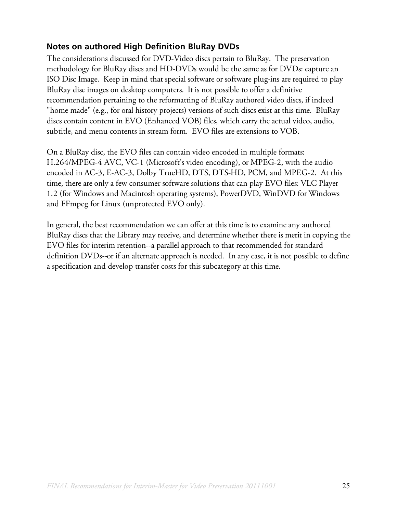## **Notes on authored High Definition BluRay DVDs**

The considerations discussed for DVD-Video discs pertain to BluRay. The preservation methodology for BluRay discs and HD-DVDs would be the same as for DVDs: capture an ISO Disc Image. Keep in mind that special software or software plug-ins are required to play BluRay disc images on desktop computers. It is not possible to offer a definitive recommendation pertaining to the reformatting of BluRay authored video discs, if indeed "home made" (e.g., for oral history projects) versions of such discs exist at this time. BluRay discs contain content in EVO (Enhanced VOB) files, which carry the actual video, audio, subtitle, and menu contents in stream form. EVO files are extensions to VOB.

On a BluRay disc, the EVO files can contain video encoded in multiple formats: H.264/MPEG-4 AVC, VC-1 (Microsoft's video encoding), or MPEG-2, with the audio encoded in AC-3, E-AC-3, Dolby TrueHD, DTS, DTS-HD, PCM, and MPEG-2. At this time, there are only a few consumer software solutions that can play EVO files: VLC Player 1.2 (for Windows and Macintosh operating systems), PowerDVD, WinDVD for Windows and FFmpeg for Linux (unprotected EVO only).

In general, the best recommendation we can offer at this time is to examine any authored BluRay discs that the Library may receive, and determine whether there is merit in copying the EVO files for interim retention--a parallel approach to that recommended for standard definition DVDs--or if an alternate approach is needed. In any case, it is not possible to define a specification and develop transfer costs for this subcategory at this time.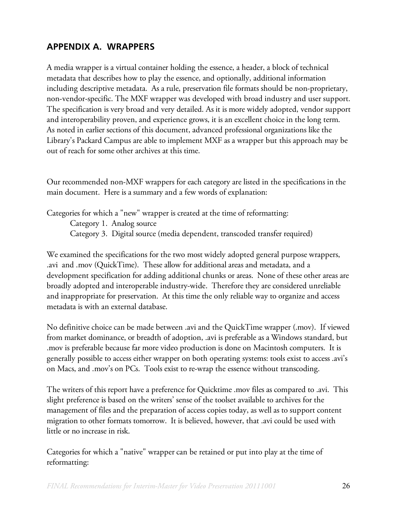# **APPENDIX A. WRAPPERS**

A media wrapper is a virtual container holding the essence, a header, a block of technical metadata that describes how to play the essence, and optionally, additional information including descriptive metadata. As a rule, preservation file formats should be non-proprietary, non-vendor-specific. The MXF wrapper was developed with broad industry and user support. The specification is very broad and very detailed. As it is more widely adopted, vendor support and interoperability proven, and experience grows, it is an excellent choice in the long term. As noted in earlier sections of this document, advanced professional organizations like the Library's Packard Campus are able to implement MXF as a wrapper but this approach may be out of reach for some other archives at this time.

Our recommended non-MXF wrappers for each category are listed in the specifications in the main document. Here is a summary and a few words of explanation:

Categories for which a "new" wrapper is created at the time of reformatting:

Category 1. Analog source

Category 3. Digital source (media dependent, transcoded transfer required)

We examined the specifications for the two most widely adopted general purpose wrappers, .avi and .mov (QuickTime). These allow for additional areas and metadata, and a development specification for adding additional chunks or areas. None of these other areas are broadly adopted and interoperable industry-wide. Therefore they are considered unreliable and inappropriate for preservation. At this time the only reliable way to organize and access metadata is with an external database.

No definitive choice can be made between .avi and the QuickTime wrapper (.mov). If viewed from market dominance, or breadth of adoption, .avi is preferable as a Windows standard, but .mov is preferable because far more video production is done on Macintosh computers. It is generally possible to access either wrapper on both operating systems: tools exist to access .avi's on Macs, and .mov's on PCs. Tools exist to re-wrap the essence without transcoding.

The writers of this report have a preference for Quicktime .mov files as compared to .avi. This slight preference is based on the writers' sense of the toolset available to archives for the management of files and the preparation of access copies today, as well as to support content migration to other formats tomorrow. It is believed, however, that .avi could be used with little or no increase in risk.

Categories for which a "native" wrapper can be retained or put into play at the time of reformatting: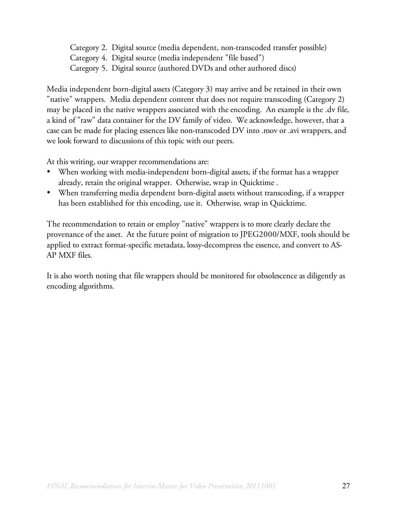Category 2. Digital source (media dependent, non-transcoded transfer possible)

- Category 4. Digital source (media independent "file based")
- Category 5. Digital source (authored DVDs and other authored discs)

Media independent born-digital assets (Category 3) may arrive and be retained in their own "native" wrappers. Media dependent content that does not require transcoding (Category 2) may be placed in the native wrappers associated with the encoding. An example is the .dv file, a kind of "raw" data container for the DV family of video. We acknowledge, however, that a case can be made for placing essences like non-transcoded DV into .mov or .avi wrappers, and we look forward to discussions of this topic with our peers.

At this writing, our wrapper recommendations are:

- When working with media-independent born-digital assets, if the format has a wrapper already, retain the original wrapper. Otherwise, wrap in Quicktime .
- When transferring media dependent born-digital assets without transcoding, if a wrapper has been established for this encoding, use it. Otherwise, wrap in Quicktime.

The recommendation to retain or employ "native" wrappers is to more clearly declare the provenance of the asset. At the future point of migration to JPEG2000/MXF, tools should be applied to extract format-specific metadata, lossy-decompress the essence, and convert to AS-AP MXF files.

It is also worth noting that file wrappers should be monitored for obsolescence as diligently as encoding algorithms.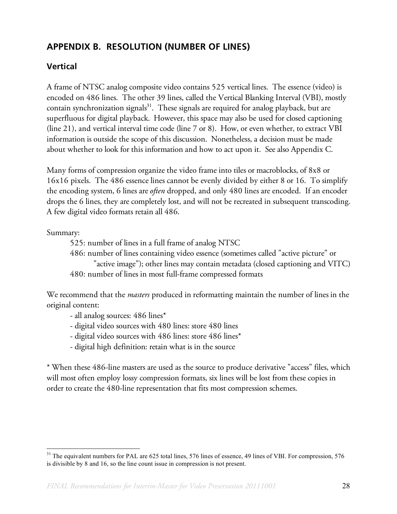# **APPENDIX B. RESOLUTION (NUMBER OF LINES)**

## **Vertical**

A frame of NTSC analog composite video contains 525 vertical lines. The essence (video) is encoded on 486 lines. The other 39 lines, called the Vertical Blanking Interval (VBI), mostly contain synchronization signals<sup>31</sup>. These signals are required for analog playback, but are superfluous for digital playback. However, this space may also be used for closed captioning (line 21), and vertical interval time code (line 7 or 8). How, or even whether, to extract VBI information is outside the scope of this discussion. Nonetheless, a decision must be made about whether to look for this information and how to act upon it. See also Appendix C.

Many forms of compression organize the video frame into tiles or macroblocks, of 8x8 or 16x16 pixels. The 486 essence lines cannot be evenly divided by either 8 or 16. To simplify the encoding system, 6 lines are *often* dropped, and only 480 lines are encoded. If an encoder drops the 6 lines, they are completely lost, and will not be recreated in subsequent transcoding. A few digital video formats retain all 486.

Summary:

- 525: number of lines in a full frame of analog NTSC
- 486: number of lines containing video essence (sometimes called "active picture" or
- "active image"); other lines may contain metadata (closed captioning and VITC) 480: number of lines in most full-frame compressed formats

We recommend that the *masters* produced in reformatting maintain the number of lines in the original content:

- all analog sources: 486 lines\*
- digital video sources with 480 lines: store 480 lines
- digital video sources with 486 lines: store 486 lines\*
- digital high definition: retain what is in the source

\* When these 486-line masters are used as the source to produce derivative "access" files, which will most often employ lossy compression formats, six lines will be lost from these copies in order to create the 480-line representation that fits most compression schemes.

<sup>&</sup>lt;sup>31</sup> The equivalent numbers for PAL are 625 total lines, 576 lines of essence, 49 lines of VBI. For compression, 576 is divisible by 8 and 16, so the line count issue in compression is not present.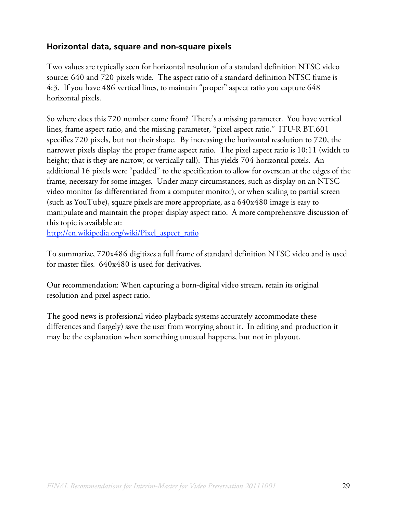## **Horizontal data, square and non-square pixels**

Two values are typically seen for horizontal resolution of a standard definition NTSC video source: 640 and 720 pixels wide. The aspect ratio of a standard definition NTSC frame is 4:3. If you have 486 vertical lines, to maintain "proper" aspect ratio you capture 648 horizontal pixels.

So where does this 720 number come from? There's a missing parameter. You have vertical lines, frame aspect ratio, and the missing parameter, "pixel aspect ratio." ITU-R BT.601 specifies 720 pixels, but not their shape. By increasing the horizontal resolution to 720, the narrower pixels display the proper frame aspect ratio. The pixel aspect ratio is 10:11 (width to height; that is they are narrow, or vertically tall). This yields 704 horizontal pixels. An additional 16 pixels were "padded" to the specification to allow for overscan at the edges of the frame, necessary for some images. Under many circumstances, such as display on an NTSC video monitor (as differentiated from a computer monitor), or when scaling to partial screen (such as YouTube), square pixels are more appropriate, as a 640x480 image is easy to manipulate and maintain the proper display aspect ratio. A more comprehensive discussion of this topic is available at:

http://en.wikipedia.org/wiki/Pixel\_aspect\_ratio

To summarize, 720x486 digitizes a full frame of standard definition NTSC video and is used for master files. 640x480 is used for derivatives.

Our recommendation: When capturing a born-digital video stream, retain its original resolution and pixel aspect ratio.

The good news is professional video playback systems accurately accommodate these differences and (largely) save the user from worrying about it. In editing and production it may be the explanation when something unusual happens, but not in playout.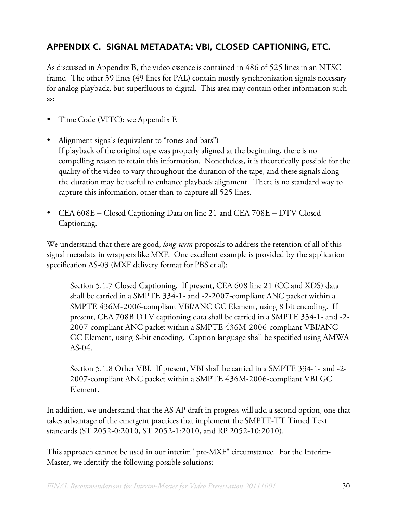# **APPENDIX C. SIGNAL METADATA: VBI, CLOSED CAPTIONING, ETC.**

As discussed in Appendix B, the video essence is contained in 486 of 525 lines in an NTSC frame. The other 39 lines (49 lines for PAL) contain mostly synchronization signals necessary for analog playback, but superfluous to digital. This area may contain other information such as:

- Time Code (VITC): see Appendix E
- Alignment signals (equivalent to "tones and bars") If playback of the original tape was properly aligned at the beginning, there is no compelling reason to retain this information. Nonetheless, it is theoretically possible for the quality of the video to vary throughout the duration of the tape, and these signals along the duration may be useful to enhance playback alignment. There is no standard way to capture this information, other than to capture all 525 lines.
- CEA 608E Closed Captioning Data on line 21 and CEA 708E DTV Closed Captioning.

We understand that there are good, *long-term* proposals to address the retention of all of this signal metadata in wrappers like MXF. One excellent example is provided by the application specification AS-03 (MXF delivery format for PBS et al):

Section 5.1.7 Closed Captioning. If present, CEA 608 line 21 (CC and XDS) data shall be carried in a SMPTE 334-1- and -2-2007-compliant ANC packet within a SMPTE 436M-2006-compliant VBI/ANC GC Element, using 8 bit encoding. If present, CEA 708B DTV captioning data shall be carried in a SMPTE 334-1- and -2- 2007-compliant ANC packet within a SMPTE 436M-2006-compliant VBI/ANC GC Element, using 8-bit encoding. Caption language shall be specified using AMWA AS-04.

Section 5.1.8 Other VBI. If present, VBI shall be carried in a SMPTE 334-1- and -2- 2007-compliant ANC packet within a SMPTE 436M-2006-compliant VBI GC Element.

In addition, we understand that the AS-AP draft in progress will add a second option, one that takes advantage of the emergent practices that implement the SMPTE-TT Timed Text standards (ST 2052-0:2010, ST 2052-1:2010, and RP 2052-10:2010).

This approach cannot be used in our interim "pre-MXF" circumstance. For the Interim-Master, we identify the following possible solutions: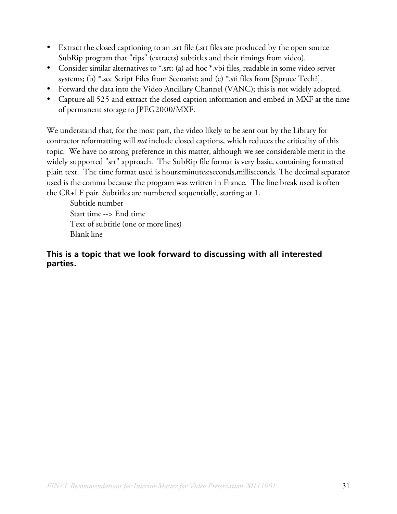- Extract the closed captioning to an .srt file (.srt files are produced by the open source SubRip program that "rips" (extracts) subtitles and their timings from video).
- Consider similar alternatives to \*.srt: (a) ad hoc \*.vbi files, readable in some video server systems; (b) \*.scc Script Files from Scenarist; and (c) \*.sti files from [Spruce Tech?].
- Forward the data into the Video Ancillary Channel (VANC); this is not widely adopted.
- Capture all 525 and extract the closed caption information and embed in MXF at the time of permanent storage to JPEG2000/MXF.

We understand that, for the most part, the video likely to be sent out by the Library for contractor reformatting will *not* include closed captions, which reduces the criticality of this topic. We have no strong preference in this matter, although we see considerable merit in the widely supported "srt" approach. The SubRip file format is very basic, containing formatted plain text. The time format used is hours:minutes:seconds,milliseconds. The decimal separator used is the comma because the program was written in France. The line break used is often the CR+LF pair. Subtitles are numbered sequentially, starting at 1.

Subtitle number Start time --> End time Text of subtitle (one or more lines) Blank line

## **This is a topic that we look forward to discussing with all interested parties.**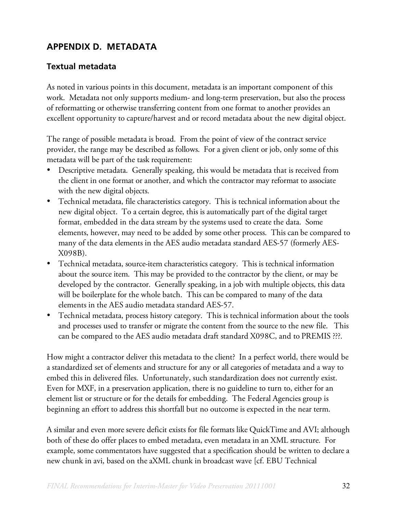# **APPENDIX D. METADATA**

## **Textual metadata**

As noted in various points in this document, metadata is an important component of this work. Metadata not only supports medium- and long-term preservation, but also the process of reformatting or otherwise transferring content from one format to another provides an excellent opportunity to capture/harvest and or record metadata about the new digital object.

The range of possible metadata is broad. From the point of view of the contract service provider, the range may be described as follows. For a given client or job, only some of this metadata will be part of the task requirement:

- Descriptive metadata. Generally speaking, this would be metadata that is received from the client in one format or another, and which the contractor may reformat to associate with the new digital objects.
- Technical metadata, file characteristics category. This is technical information about the new digital object. To a certain degree, this is automatically part of the digital target format, embedded in the data stream by the systems used to create the data. Some elements, however, may need to be added by some other process. This can be compared to many of the data elements in the AES audio metadata standard AES-57 (formerly AES-X098B).
- Technical metadata, source-item characteristics category. This is technical information about the source item. This may be provided to the contractor by the client, or may be developed by the contractor. Generally speaking, in a job with multiple objects, this data will be boilerplate for the whole batch. This can be compared to many of the data elements in the AES audio metadata standard AES-57.
- Technical metadata, process history category. This is technical information about the tools and processes used to transfer or migrate the content from the source to the new file. This can be compared to the AES audio metadata draft standard X098C, and to PREMIS ???.

How might a contractor deliver this metadata to the client? In a perfect world, there would be a standardized set of elements and structure for any or all categories of metadata and a way to embed this in delivered files. Unfortunately, such standardization does not currently exist. Even for MXF, in a preservation application, there is no guideline to turn to, either for an element list or structure or for the details for embedding. The Federal Agencies group is beginning an effort to address this shortfall but no outcome is expected in the near term.

A similar and even more severe deficit exists for file formats like QuickTime and AVI; although both of these do offer places to embed metadata, even metadata in an XML structure. For example, some commentators have suggested that a specification should be written to declare a new chunk in avi, based on the aXML chunk in broadcast wave [cf. EBU Technical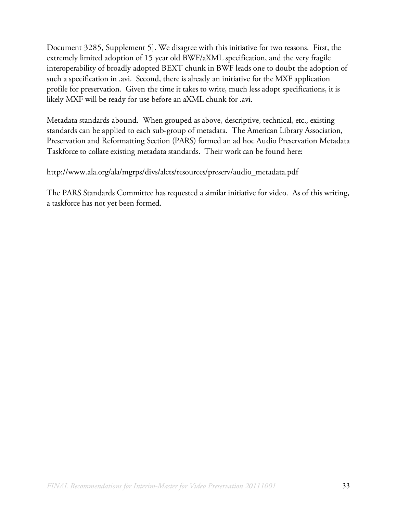Document 3285, Supplement 5]. We disagree with this initiative for two reasons. First, the extremely limited adoption of 15 year old BWF/aXML specification, and the very fragile interoperability of broadly adopted BEXT chunk in BWF leads one to doubt the adoption of such a specification in .avi. Second, there is already an initiative for the MXF application profile for preservation. Given the time it takes to write, much less adopt specifications, it is likely MXF will be ready for use before an aXML chunk for .avi.

Metadata standards abound. When grouped as above, descriptive, technical, etc., existing standards can be applied to each sub-group of metadata. The American Library Association, Preservation and Reformatting Section (PARS) formed an ad hoc Audio Preservation Metadata Taskforce to collate existing metadata standards. Their work can be found here:

http://www.ala.org/ala/mgrps/divs/alcts/resources/preserv/audio\_metadata.pdf

The PARS Standards Committee has requested a similar initiative for video. As of this writing, a taskforce has not yet been formed.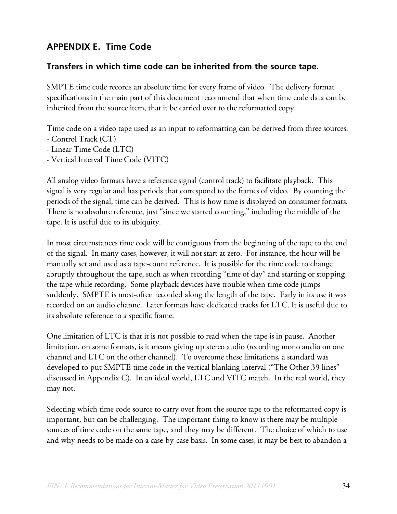# **APPENDIX E. Time Code**

### **Transfers in which time code can be inherited from the source tape.**

SMPTE time code records an absolute time for every frame of video. The delivery format specifications in the main part of this document recommend that when time code data can be inherited from the source item, that it be carried over to the reformatted copy.

Time code on a video tape used as an input to reformatting can be derived from three sources:

- Control Track (CT)
- Linear Time Code (LTC)
- Vertical Interval Time Code (VITC)

All analog video formats have a reference signal (control track) to facilitate playback. This signal is very regular and has periods that correspond to the frames of video. By counting the periods of the signal, time can be derived. This is how time is displayed on consumer formats. There is no absolute reference, just "since we started counting," including the middle of the tape. It is useful due to its ubiquity.

In most circumstances time code will be contiguous from the beginning of the tape to the end of the signal. In many cases, however, it will not start at zero. For instance, the hour will be manually set and used as a tape-count reference. It is possible for the time code to change abruptly throughout the tape, such as when recording "time of day" and starting or stopping the tape while recording. Some playback devices have trouble when time code jumps suddenly. SMPTE is most-often recorded along the length of the tape. Early in its use it was recorded on an audio channel. Later formats have dedicated tracks for LTC. It is useful due to its absolute reference to a specific frame.

One limitation of LTC is that it is not possible to read when the tape is in pause. Another limitation, on some formats, is it means giving up stereo audio (recording mono audio on one channel and LTC on the other channel). To overcome these limitations, a standard was developed to put SMPTE time code in the vertical blanking interval ("The Other 39 lines" discussed in Appendix C). In an ideal world, LTC and VITC match. In the real world, they may not.

Selecting which time code source to carry over from the source tape to the reformatted copy is important, but can be challenging. The important thing to know is there may be multiple sources of time code on the same tape, and they may be different. The choice of which to use and why needs to be made on a case-by-case basis. In some cases, it may be best to abandon a